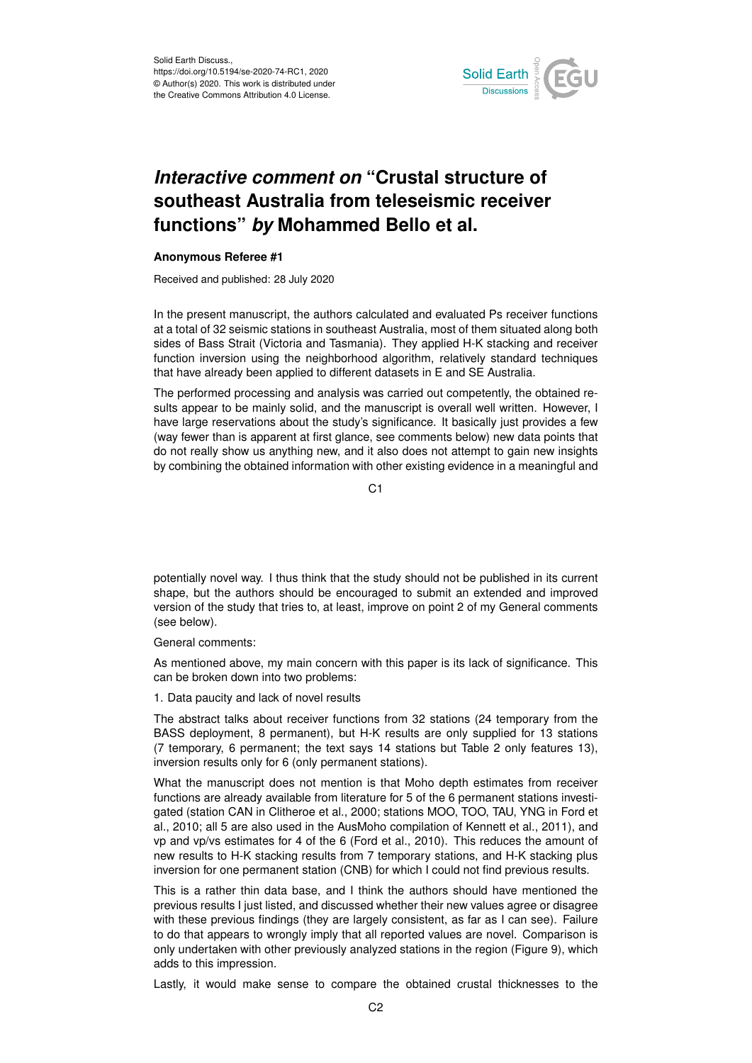

# *Interactive comment on* **"Crustal structure of southeast Australia from teleseismic receiver functions"** *by* **Mohammed Bello et al.**

# **Anonymous Referee #1**

Received and published: 28 July 2020

In the present manuscript, the authors calculated and evaluated Ps receiver functions at a total of 32 seismic stations in southeast Australia, most of them situated along both sides of Bass Strait (Victoria and Tasmania). They applied H-K stacking and receiver function inversion using the neighborhood algorithm, relatively standard techniques that have already been applied to different datasets in E and SE Australia.

The performed processing and analysis was carried out competently, the obtained results appear to be mainly solid, and the manuscript is overall well written. However, I have large reservations about the study's significance. It basically just provides a few (way fewer than is apparent at first glance, see comments below) new data points that do not really show us anything new, and it also does not attempt to gain new insights by combining the obtained information with other existing evidence in a meaningful and

C<sub>1</sub>

potentially novel way. I thus think that the study should not be published in its current shape, but the authors should be encouraged to submit an extended and improved version of the study that tries to, at least, improve on point 2 of my General comments (see below).

General comments:

As mentioned above, my main concern with this paper is its lack of significance. This can be broken down into two problems:

1. Data paucity and lack of novel results

The abstract talks about receiver functions from 32 stations (24 temporary from the BASS deployment, 8 permanent), but H-K results are only supplied for 13 stations (7 temporary, 6 permanent; the text says 14 stations but Table 2 only features 13), inversion results only for 6 (only permanent stations).

What the manuscript does not mention is that Moho depth estimates from receiver functions are already available from literature for 5 of the 6 permanent stations investigated (station CAN in Clitheroe et al., 2000; stations MOO, TOO, TAU, YNG in Ford et al., 2010; all 5 are also used in the AusMoho compilation of Kennett et al., 2011), and vp and vp/vs estimates for 4 of the 6 (Ford et al., 2010). This reduces the amount of new results to H-K stacking results from 7 temporary stations, and H-K stacking plus inversion for one permanent station (CNB) for which I could not find previous results.

This is a rather thin data base, and I think the authors should have mentioned the previous results I just listed, and discussed whether their new values agree or disagree with these previous findings (they are largely consistent, as far as I can see). Failure to do that appears to wrongly imply that all reported values are novel. Comparison is only undertaken with other previously analyzed stations in the region (Figure 9), which adds to this impression.

Lastly, it would make sense to compare the obtained crustal thicknesses to the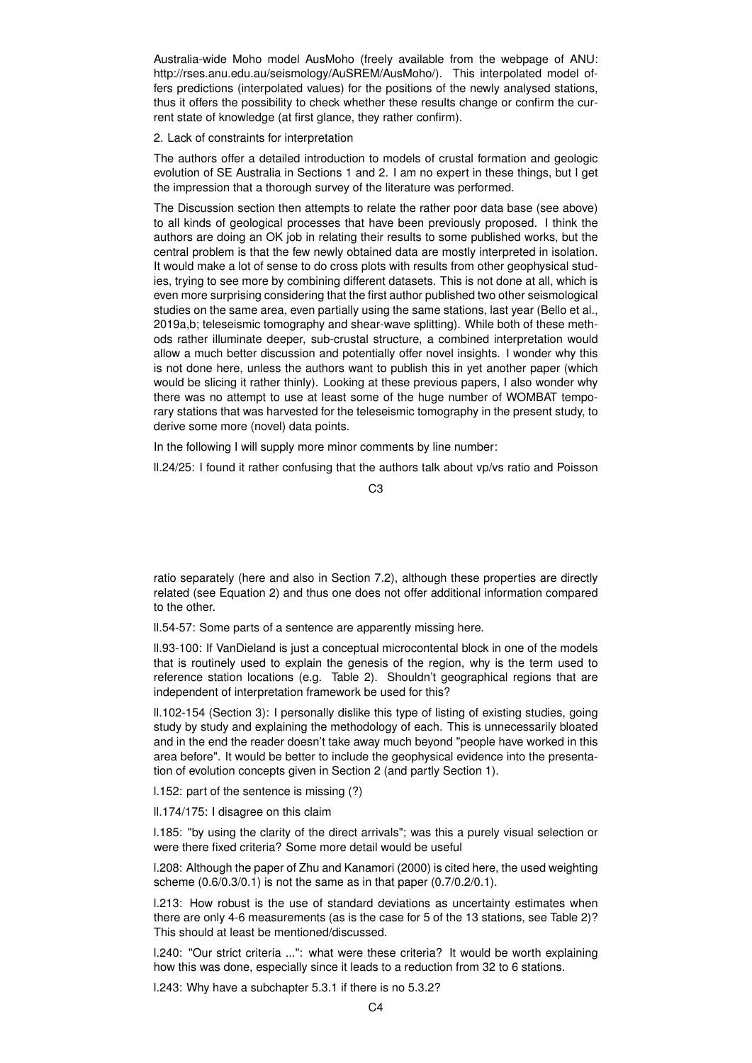Australia-wide Moho model AusMoho (freely available from the webpage of ANU: http://rses.anu.edu.au/seismology/AuSREM/AusMoho/). This interpolated model offers predictions (interpolated values) for the positions of the newly analysed stations, thus it offers the possibility to check whether these results change or confirm the current state of knowledge (at first glance, they rather confirm).

## 2. Lack of constraints for interpretation

The authors offer a detailed introduction to models of crustal formation and geologic evolution of SE Australia in Sections 1 and 2. I am no expert in these things, but I get the impression that a thorough survey of the literature was performed.

The Discussion section then attempts to relate the rather poor data base (see above) to all kinds of geological processes that have been previously proposed. I think the authors are doing an OK job in relating their results to some published works, but the central problem is that the few newly obtained data are mostly interpreted in isolation. It would make a lot of sense to do cross plots with results from other geophysical studies, trying to see more by combining different datasets. This is not done at all, which is even more surprising considering that the first author published two other seismological studies on the same area, even partially using the same stations, last year (Bello et al., 2019a,b; teleseismic tomography and shear-wave splitting). While both of these methods rather illuminate deeper, sub-crustal structure, a combined interpretation would allow a much better discussion and potentially offer novel insights. I wonder why this is not done here, unless the authors want to publish this in yet another paper (which would be slicing it rather thinly). Looking at these previous papers, I also wonder why there was no attempt to use at least some of the huge number of WOMBAT temporary stations that was harvested for the teleseismic tomography in the present study, to derive some more (novel) data points.

In the following I will supply more minor comments by line number:

ll.24/25: I found it rather confusing that the authors talk about vp/vs ratio and Poisson

 $C3$ 

ratio separately (here and also in Section 7.2), although these properties are directly related (see Equation 2) and thus one does not offer additional information compared to the other.

ll.54-57: Some parts of a sentence are apparently missing here.

ll.93-100: If VanDieland is just a conceptual microcontental block in one of the models that is routinely used to explain the genesis of the region, why is the term used to reference station locations (e.g. Table 2). Shouldn't geographical regions that are independent of interpretation framework be used for this?

ll.102-154 (Section 3): I personally dislike this type of listing of existing studies, going study by study and explaining the methodology of each. This is unnecessarily bloated and in the end the reader doesn't take away much beyond "people have worked in this area before". It would be better to include the geophysical evidence into the presentation of evolution concepts given in Section 2 (and partly Section 1).

l.152: part of the sentence is missing (?)

ll.174/175: I disagree on this claim

l.185: "by using the clarity of the direct arrivals"; was this a purely visual selection or were there fixed criteria? Some more detail would be useful

l.208: Although the paper of Zhu and Kanamori (2000) is cited here, the used weighting scheme (0.6/0.3/0.1) is not the same as in that paper (0.7/0.2/0.1).

l.213: How robust is the use of standard deviations as uncertainty estimates when there are only 4-6 measurements (as is the case for 5 of the 13 stations, see Table 2)? This should at least be mentioned/discussed.

l.240: "Our strict criteria ...": what were these criteria? It would be worth explaining how this was done, especially since it leads to a reduction from 32 to 6 stations.

l.243: Why have a subchapter 5.3.1 if there is no 5.3.2?